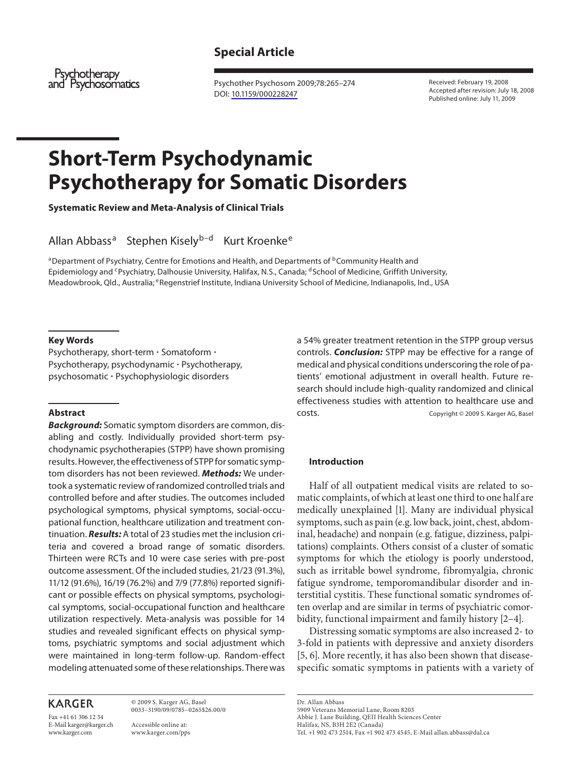# **Special Article**

Psychotherapy and Psychosomatics

 Psychother Psychosom 2009;78:265–274 DOI: [10.1159/000228247](http://dx.doi.org/10.1159%2F000228247) 

 Received: February 19, 2008 Accepted after revision: July 18, 2008 Published online: July 11, 2009

# **Short-Term Psychodynamic Psychotherapy for Somatic Disorders**

 **Systematic Review and Meta-Analysis of Clinical Trials** 

Allan Abbass<sup>a</sup> Stephen Kisely<sup>b-d</sup> Kurt Kroenke<sup>e</sup>

<sup>a</sup> Department of Psychiatry, Centre for Emotions and Health, and Departments of <sup>b</sup> Community Health and Epidemiology and <sup>c</sup>Psychiatry, Dalhousie University, Halifax, N.S., Canada; <sup>d</sup> School of Medicine, Griffith University, Meadowbrook, Qld., Australia; <sup>e</sup> Regenstrief Institute, Indiana University School of Medicine, Indianapolis, Ind., USA

#### **Key Words**

Psychotherapy, short-term · Somatoform · Psychotherapy, psychodynamic - Psychotherapy, psychosomatic - Psychophysiologic disorders

#### **Abstract**

*Background:* Somatic symptom disorders are common, disabling and costly. Individually provided short-term psychodynamic psychotherapies (STPP) have shown promising results. However, the effectiveness of STPP for somatic symptom disorders has not been reviewed. *Methods:* We undertook a systematic review of randomized controlled trials and controlled before and after studies. The outcomes included psychological symptoms, physical symptoms, social-occupational function, healthcare utilization and treatment continuation. *Results:* A total of 23 studies met the inclusion criteria and covered a broad range of somatic disorders. Thirteen were RCTs and 10 were case series with pre-post outcome assessment. Of the included studies, 21/23 (91.3%), 11/12 (91.6%), 16/19 (76.2%) and 7/9 (77.8%) reported significant or possible effects on physical symptoms, psychological symptoms, social-occupational function and healthcare utilization respectively. Meta-analysis was possible for 14 studies and revealed significant effects on physical symptoms, psychiatric symptoms and social adjustment which were maintained in long-term follow-up. Random-effect modeling attenuated some of these relationships. There was

# **KARGER**

Fax +41 61 306 12 34 E-Mail karger@karger.ch www.karger.com

 © 2009 S. Karger AG, Basel 0033–3190/09/0785–0265\$26.00/0

 Accessible online at: www.karger.com/pps a 54% greater treatment retention in the STPP group versus controls. *Conclusion:* STPP may be effective for a range of medical and physical conditions underscoring the role of patients' emotional adjustment in overall health. Future research should include high-quality randomized and clinical effectiveness studies with attention to healthcare use and costs. Copyright © 2009 S. Karger AG, Basel

#### **Introduction**

 Half of all outpatient medical visits are related to somatic complaints, of which at least one third to one half are medically unexplained [1]. Many are individual physical symptoms, such as pain (e.g. low back, joint, chest, abdominal, headache) and nonpain (e.g. fatigue, dizziness, palpitations) complaints. Others consist of a cluster of somatic symptoms for which the etiology is poorly understood, such as irritable bowel syndrome, fibromyalgia, chronic fatigue syndrome, temporomandibular disorder and interstitial cystitis. These functional somatic syndromes often overlap and are similar in terms of psychiatric comorbidity, functional impairment and family history [2-4].

 Distressing somatic symptoms are also increased 2- to 3-fold in patients with depressive and anxiety disorders [5, 6]. More recently, it has also been shown that diseasespecific somatic symptoms in patients with a variety of

 Dr. Allan Abbass 5909 Veterans Memorial Lane, Room 8203 Abbie J. Lane Building, QEII Health Sciences Center Halifax, NS, B3H 2E2 (Canada) Tel. +1 902 473 2514, Fax +1 902 473 4545, E-Mail allan.abbass@dal.ca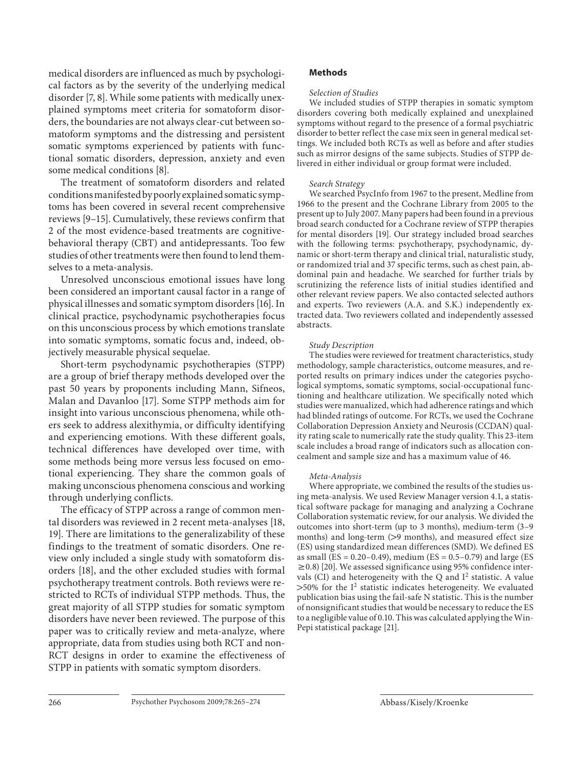medical disorders are influenced as much by psychological factors as by the severity of the underlying medical disorder [7, 8]. While some patients with medically unexplained symptoms meet criteria for somatoform disorders, the boundaries are not always clear-cut between somatoform symptoms and the distressing and persistent somatic symptoms experienced by patients with functional somatic disorders, depression, anxiety and even some medical conditions [8].

 The treatment of somatoform disorders and related conditions manifested by poorly explained somatic symptoms has been covered in several recent comprehensive reviews [9–15] . Cumulatively, these reviews confirm that 2 of the most evidence-based treatments are cognitivebehavioral therapy (CBT) and antidepressants. Too few studies of other treatments were then found to lend themselves to a meta-analysis.

 Unresolved unconscious emotional issues have long been considered an important causal factor in a range of physical illnesses and somatic symptom disorders [16] . In clinical practice, psychodynamic psychotherapies focus on this unconscious process by which emotions translate into somatic symptoms, somatic focus and, indeed, objectively measurable physical sequelae.

 Short-term psychodynamic psychotherapies (STPP) are a group of brief therapy methods developed over the past 50 years by proponents including Mann, Sifneos, Malan and Davanloo [17]. Some STPP methods aim for insight into various unconscious phenomena, while others seek to address alexithymia, or difficulty identifying and experiencing emotions. With these different goals, technical differences have developed over time, with some methods being more versus less focused on emotional experiencing. They share the common goals of making unconscious phenomena conscious and working through underlying conflicts.

 The efficacy of STPP across a range of common mental disorders was reviewed in 2 recent meta-analyses [18, 19]. There are limitations to the generalizability of these findings to the treatment of somatic disorders. One review only included a single study with somatoform disorders [18], and the other excluded studies with formal psychotherapy treatment controls. Both reviews were restricted to RCTs of individual STPP methods. Thus, the great majority of all STPP studies for somatic symptom disorders have never been reviewed. The purpose of this paper was to critically review and meta-analyze, where appropriate, data from studies using both RCT and non-RCT designs in order to examine the effectiveness of STPP in patients with somatic symptom disorders.

# **Methods**

#### *Selection of Studies*

 We included studies of STPP therapies in somatic symptom disorders covering both medically explained and unexplained symptoms without regard to the presence of a formal psychiatric disorder to better reflect the case mix seen in general medical settings. We included both RCTs as well as before and after studies such as mirror designs of the same subjects. Studies of STPP delivered in either individual or group format were included.

#### *Search Strategy*

 We searched PsycInfo from 1967 to the present, Medline from 1966 to the present and the Cochrane Library from 2005 to the present up to July 2007. Many papers had been found in a previous broad search conducted for a Cochrane review of STPP therapies for mental disorders [19]. Our strategy included broad searches with the following terms: psychotherapy, psychodynamic, dynamic or short-term therapy and clinical trial, naturalistic study, or randomized trial and 37 specific terms, such as chest pain, abdominal pain and headache. We searched for further trials by scrutinizing the reference lists of initial studies identified and other relevant review papers. We also contacted selected authors and experts. Two reviewers (A.A. and S.K.) independently extracted data. Two reviewers collated and independently assessed abstracts.

#### *Study Description*

 The studies were reviewed for treatment characteristics, study methodology, sample characteristics, outcome measures, and reported results on primary indices under the categories psychological symptoms, somatic symptoms, social-occupational functioning and healthcare utilization. We specifically noted which studies were manualized, which had adherence ratings and which had blinded ratings of outcome. For RCTs, we used the Cochrane Collaboration Depression Anxiety and Neurosis (CCDAN) quality rating scale to numerically rate the study quality. This 23-item scale includes a broad range of indicators such as allocation concealment and sample size and has a maximum value of 46.

#### *Meta-Analysis*

 Where appropriate, we combined the results of the studies using meta-analysis. We used Review Manager version 4.1, a statistical software package for managing and analyzing a Cochrane Collaboration systematic review, for our analysis. We divided the outcomes into short-term (up to 3 months), medium-term (3–9 months) and long-term  $(>9$  months), and measured effect size (ES) using standardized mean differences (SMD). We defined ES as small (ES =  $0.20 - 0.49$ ), medium (ES =  $0.5 - 0.79$ ) and large (ES  $\geq$  0.8) [20]. We assessed significance using 95% confidence intervals (CI) and heterogeneity with the Q and  $I^2$  statistic. A value  $>50\%$  for the I<sup>2</sup> statistic indicates heterogeneity. We evaluated publication bias using the fail-safe N statistic. This is the number of nonsignificant studies that would be necessary to reduce the ES to a negligible value of 0.10. This was calculated applying the Win-Pepi statistical package [21].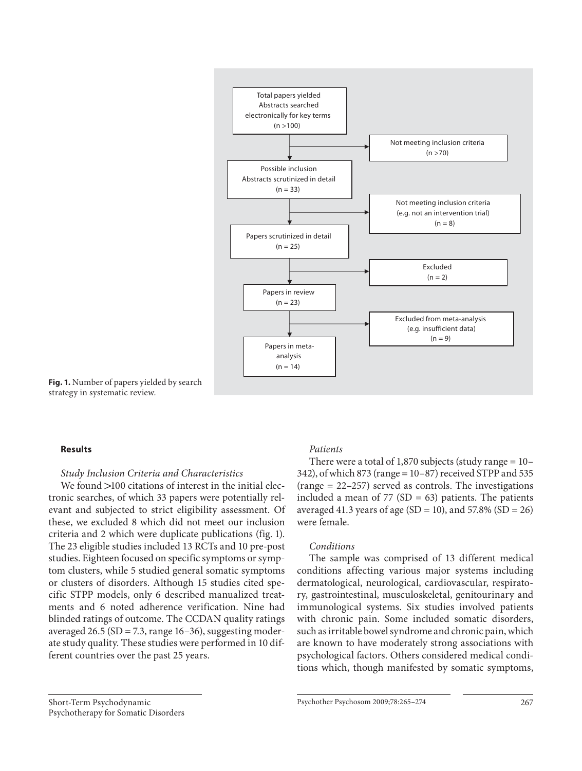

**Fig. 1.** Number of papers yielded by search strategy in systematic review.

#### **Results**

#### *Study Inclusion Criteria and Characteristics*

We found  $>$ 100 citations of interest in the initial electronic searches, of which 33 papers were potentially relevant and subjected to strict eligibility assessment. Of these, we excluded 8 which did not meet our inclusion criteria and 2 which were duplicate publications (fig. 1). The 23 eligible studies included 13 RCTs and 10 pre-post studies. Eighteen focused on specific symptoms or symptom clusters, while 5 studied general somatic symptoms or clusters of disorders. Although 15 studies cited specific STPP models, only 6 described manualized treatments and 6 noted adherence verification. Nine had blinded ratings of outcome. The CCDAN quality ratings averaged 26.5 ( $SD = 7.3$ , range 16–36), suggesting moderate study quality. These studies were performed in 10 different countries over the past 25 years.

## *Patients*

There were a total of 1,870 subjects (study range  $= 10-$ 342), of which 873 (range = 10–87) received STPP and 535 (range = 22–257) served as controls. The investigations included a mean of  $77$  (SD = 63) patients. The patients averaged 41.3 years of age (SD = 10), and 57.8% (SD = 26) were female.

#### *Conditions*

 The sample was comprised of 13 different medical conditions affecting various major systems including dermatological, neurological, cardiovascular, respiratory, gastrointestinal, musculoskeletal, genitourinary and immunological systems. Six studies involved patients with chronic pain. Some included somatic disorders, such as irritable bowel syndrome and chronic pain, which are known to have moderately strong associations with psychological factors. Others considered medical conditions which, though manifested by somatic symptoms,

 Short-Term Psychodynamic Psychotherapy for Somatic Disorders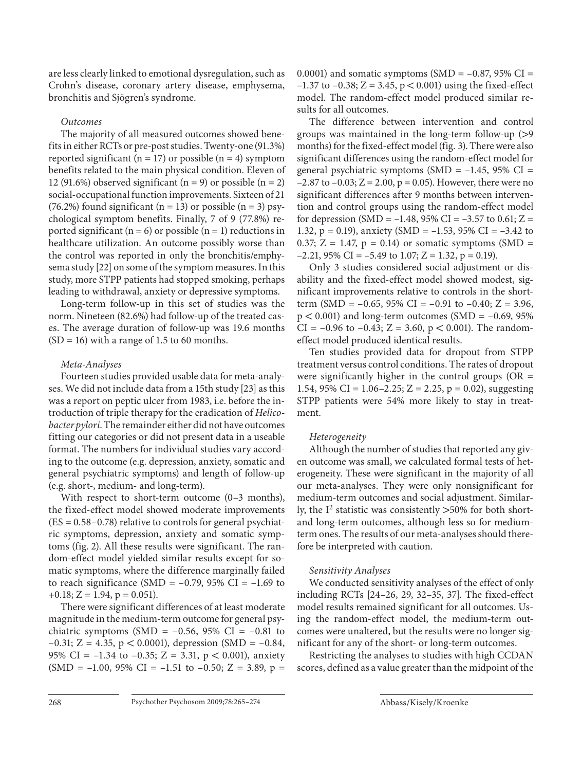are less clearly linked to emotional dysregulation, such as Crohn's disease, coronary artery disease, emphysema, bronchitis and Sjögren's syndrome.

# *Outcomes*

 The majority of all measured outcomes showed benefits in either RCTs or pre-post studies. Twenty-one (91.3%) reported significant ( $n = 17$ ) or possible ( $n = 4$ ) symptom benefits related to the main physical condition. Eleven of 12 (91.6%) observed significant ( $n = 9$ ) or possible ( $n = 2$ ) social-occupational function improvements. Sixteen of 21 (76.2%) found significant ( $n = 13$ ) or possible ( $n = 3$ ) psychological symptom benefits. Finally, 7 of 9 (77.8%) reported significant ( $n = 6$ ) or possible ( $n = 1$ ) reductions in healthcare utilization. An outcome possibly worse than the control was reported in only the bronchitis/emphysema study [22] on some of the symptom measures. In this study, more STPP patients had stopped smoking, perhaps leading to withdrawal, anxiety or depressive symptoms.

 Long-term follow-up in this set of studies was the norm. Nineteen (82.6%) had follow-up of the treated cases. The average duration of follow-up was 19.6 months  $(SD = 16)$  with a range of 1.5 to 60 months.

# *Meta-Analyses*

 Fourteen studies provided usable data for meta-analyses. We did not include data from a 15th study [23] as this was a report on peptic ulcer from 1983, i.e. before the introduction of triple therapy for the eradication of *Helicobacter pylori* . The remainder either did not have outcomes fitting our categories or did not present data in a useable format. The numbers for individual studies vary according to the outcome (e.g. depression, anxiety, somatic and general psychiatric symptoms) and length of follow-up (e.g. short-, medium- and long-term).

With respect to short-term outcome (0–3 months), the fixed-effect model showed moderate improvements  $(ES = 0.58 - 0.78)$  relative to controls for general psychiatric symptoms, depression, anxiety and somatic symptoms (fig. 2). All these results were significant. The random-effect model yielded similar results except for somatic symptoms, where the difference marginally failed to reach significance (SMD =  $-0.79$ , 95% CI =  $-1.69$  to  $+0.18; Z = 1.94, p = 0.051$ .

 There were significant differences of at least moderate magnitude in the medium-term outcome for general psychiatric symptoms (SMD =  $-0.56$ , 95% CI =  $-0.81$  to  $-0.31$ ; Z = 4.35, p < 0.0001), depression (SMD =  $-0.84$ , 95% CI =  $-1.34$  to  $-0.35$ ; Z = 3.31, p < 0.001), anxiety  $(SMD = -1.00, 95\% CI = -1.51$  to  $-0.50; Z = 3.89, p =$  0.0001) and somatic symptoms (SMD =  $-0.87$ , 95% CI = –1.37 to –0.38; Z = 3.45,  $p < 0.001$ ) using the fixed-effect model. The random-effect model produced similar results for all outcomes.

 The difference between intervention and control groups was maintained in the long-term follow-up  $(>9)$ months) for the fixed-effect model (fig. 3). There were also significant differences using the random-effect model for general psychiatric symptoms (SMD =  $-1.45$ , 95% CI =  $-2.87$  to  $-0.03$ ;  $Z = 2.00$ ,  $p = 0.05$ ). However, there were no significant differences after 9 months between intervention and control groups using the random-effect model for depression (SMD =  $-1.48$ , 95% CI =  $-3.57$  to 0.61; Z = 1.32,  $p = 0.19$ ), anxiety (SMD = -1.53, 95% CI = -3.42 to 0.37;  $Z = 1.47$ ,  $p = 0.14$ ) or somatic symptoms (SMD =  $-2.21$ , 95% CI =  $-5.49$  to 1.07; Z = 1.32, p = 0.19).

 Only 3 studies considered social adjustment or disability and the fixed-effect model showed modest, significant improvements relative to controls in the shortterm (SMD =  $-0.65$ , 95% CI =  $-0.91$  to  $-0.40$ ; Z = 3.96,  $p < 0.001$ ) and long-term outcomes (SMD = -0.69, 95% CI =  $-0.96$  to  $-0.43$ ; Z = 3.60, p < 0.001). The randomeffect model produced identical results.

 Ten studies provided data for dropout from STPP treatment versus control conditions. The rates of dropout were significantly higher in the control groups ( $OR =$ 1.54, 95% CI = 1.06-2.25; Z = 2.25, p = 0.02), suggesting STPP patients were 54% more likely to stay in treatment.

# *Heterogeneity*

 Although the number of studies that reported any given outcome was small, we calculated formal tests of heterogeneity. These were significant in the majority of all our meta-analyses. They were only nonsignificant for medium-term outcomes and social adjustment. Similarly, the  $I^2$  statistic was consistently  $>50\%$  for both shortand long-term outcomes, although less so for mediumterm ones. The results of our meta-analyses should therefore be interpreted with caution.

# *Sensitivity Analyses*

 We conducted sensitivity analyses of the effect of only including RCTs [24–26, 29, 32–35, 37] . The fixed-effect model results remained significant for all outcomes. Using the random-effect model, the medium-term outcomes were unaltered, but the results were no longer significant for any of the short- or long-term outcomes.

 Restricting the analyses to studies with high CCDAN scores, defined as a value greater than the midpoint of the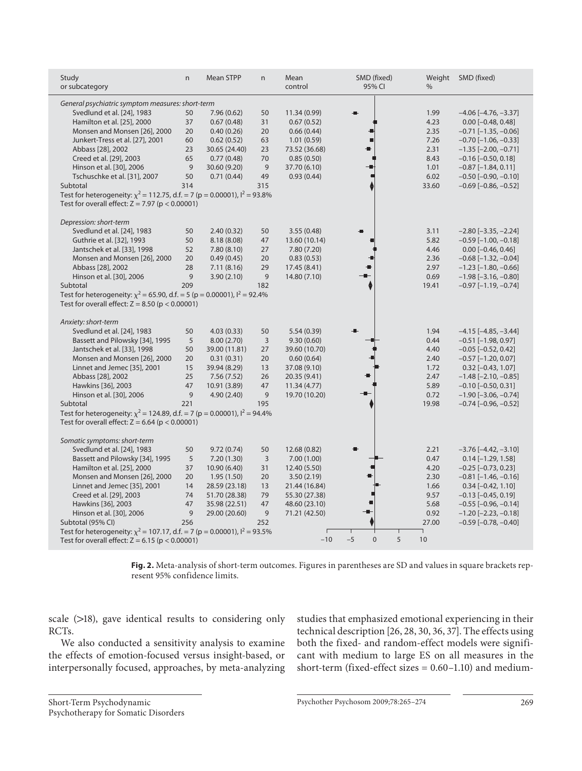| Study<br>or subcategory                                                                                                               | n   | <b>Mean STPP</b> | $\mathsf{n}$   | Mean<br>control | SMD (fixed)<br>95% CI       | Weight<br>$\%$ | SMD (fixed)                   |  |  |  |
|---------------------------------------------------------------------------------------------------------------------------------------|-----|------------------|----------------|-----------------|-----------------------------|----------------|-------------------------------|--|--|--|
| General psychiatric symptom measures: short-term                                                                                      |     |                  |                |                 |                             |                |                               |  |  |  |
| Svedlund et al. [24], 1983                                                                                                            | 50  | 7.96(0.62)       | 50             | 11.34 (0.99)    |                             | 1.99           | $-4.06$ [ $-4.76$ , $-3.37$ ] |  |  |  |
| Hamilton et al. [25], 2000                                                                                                            | 37  | 0.67(0.48)       | 31             | 0.67(0.52)      |                             | 4.23           | $0.00$ [-0.48, 0.48]          |  |  |  |
| Monsen and Monsen [26], 2000                                                                                                          | 20  | 0.40(0.26)       | 20             | 0.66(0.44)      |                             | 2.35           | $-0.71$ [ $-1.35$ , $-0.06$ ] |  |  |  |
| Junkert-Tress et al. [27], 2001                                                                                                       | 60  | 0.62(0.52)       | 63             | 1.01(0.59)      |                             | 7.26           | $-0.70$ [ $-1.06$ , $-0.33$ ] |  |  |  |
| Abbass [28], 2002                                                                                                                     | 23  | 30.65 (24.40)    | 23             | 73.52 (36.68)   |                             | 2.31           | $-1.35$ [ $-2.00$ , $-0.71$ ] |  |  |  |
| Creed et al. [29], 2003                                                                                                               | 65  | 0.77(0.48)       | 70             | 0.85(0.50)      |                             | 8.43           | $-0.16$ [ $-0.50$ , 0.18]     |  |  |  |
| Hinson et al. [30], 2006                                                                                                              | 9   | 30.60 (9.20)     | 9              | 37.70 (6.10)    |                             | 1.01           | $-0.87[-1.84, 0.11]$          |  |  |  |
| Tschuschke et al. [31], 2007                                                                                                          | 50  | 0.71(0.44)       | 49             | 0.93(0.44)      |                             | 6.02           | $-0.50$ [ $-0.90$ , $-0.10$ ] |  |  |  |
| Subtotal                                                                                                                              | 314 |                  | 315            |                 |                             | 33.60          | $-0.69$ [ $-0.86$ , $-0.52$ ] |  |  |  |
| Test for heterogeneity: $\chi^2$ = 112.75, d.f. = 7 (p = 0.00001), $I^2$ = 93.8%<br>Test for overall effect: $Z = 7.97$ (p < 0.00001) |     |                  |                |                 |                             |                |                               |  |  |  |
|                                                                                                                                       |     |                  |                |                 |                             |                |                               |  |  |  |
| Depression: short-term                                                                                                                |     |                  |                |                 |                             |                |                               |  |  |  |
| Svedlund et al. [24], 1983                                                                                                            | 50  | 2.40(0.32)       | 50             | 3.55(0.48)      |                             | 3.11           | $-2.80$ [ $-3.35$ , $-2.24$ ] |  |  |  |
| Guthrie et al. [32], 1993                                                                                                             | 50  | 8.18 (8.08)      | 47             | 13.60 (10.14)   |                             | 5.82           | $-0.59$ [ $-1.00$ , $-0.18$ ] |  |  |  |
| Jantschek et al. [33], 1998                                                                                                           | 52  | 7.80(8.10)       | 27             | 7.80 (7.20)     |                             | 4.46           | $0.00$ [-0.46, 0.46]          |  |  |  |
| Monsen and Monsen [26], 2000                                                                                                          | 20  | 0.49(0.45)       | 20             | 0.83(0.53)      |                             | 2.36           | $-0.68$ [ $-1.32$ , $-0.04$ ] |  |  |  |
| Abbass [28], 2002                                                                                                                     | 28  | 7.11(8.16)       | 29             | 17.45 (8.41)    |                             | 2.97           | $-1.23$ [ $-1.80$ , $-0.66$ ] |  |  |  |
| Hinson et al. [30], 2006                                                                                                              | 9   | 3.90(2.10)       | 9              | 14.80 (7.10)    |                             | 0.69           | $-1.98$ [ $-3.16$ , $-0.80$ ] |  |  |  |
| Subtotal                                                                                                                              | 209 |                  | 182            |                 |                             | 19.41          | $-0.97$ [ $-1.19$ , $-0.74$ ] |  |  |  |
| Test for heterogeneity: $\chi^2$ = 65.90, d.f. = 5 (p = 0.00001), $I^2$ = 92.4%                                                       |     |                  |                |                 |                             |                |                               |  |  |  |
| Test for overall effect: $Z = 8.50$ ( $p < 0.00001$ )                                                                                 |     |                  |                |                 |                             |                |                               |  |  |  |
| Anxiety: short-term                                                                                                                   |     |                  |                |                 |                             |                |                               |  |  |  |
| Svedlund et al. [24], 1983                                                                                                            | 50  | 4.03(0.33)       | 50             | 5.54(0.39)      |                             | 1.94           | $-4.15$ [ $-4.85$ , $-3.44$ ] |  |  |  |
| Bassett and Pilowsky [34], 1995                                                                                                       | 5   | 8.00(2.70)       | $\overline{3}$ | 9.30(0.60)      |                             | 0.44           | $-0.51$ [ $-1.98$ , 0.97]     |  |  |  |
| Jantschek et al. [33], 1998                                                                                                           | 50  | 39.00 (11.81)    | 27             | 39.60 (10.70)   |                             | 4.40           | $-0.05$ [ $-0.52$ , 0.42]     |  |  |  |
| Monsen and Monsen [26], 2000                                                                                                          | 20  | 0.31(0.31)       | 20             | 0.60(0.64)      |                             | 2.40           | $-0.57$ [ $-1.20$ , 0.07]     |  |  |  |
| Linnet and Jemec [35], 2001                                                                                                           | 15  | 39.94 (8.29)     | 13             | 37.08 (9.10)    |                             | 1.72           | $0.32$ [-0.43, 1.07]          |  |  |  |
| Abbass [28], 2002                                                                                                                     | 25  | 7.56(7.52)       | 26             | 20.35 (9.41)    |                             | 2.47           | $-1.48$ [ $-2.10$ , $-0.85$ ] |  |  |  |
| Hawkins [36], 2003                                                                                                                    | 47  | 10.91 (3.89)     | 47             | 11.34(4.77)     |                             | 5.89           | $-0.10$ [ $-0.50$ , 0.31]     |  |  |  |
| Hinson et al. [30], 2006                                                                                                              | 9   | 4.90(2.40)       | 9              | 19.70 (10.20)   |                             | 0.72           | $-1.90$ [ $-3.06$ , $-0.74$ ] |  |  |  |
| Subtotal                                                                                                                              | 221 |                  | 195            |                 |                             | 19.98          | $-0.74$ [ $-0.96$ , $-0.52$ ] |  |  |  |
| Test for heterogeneity: $\chi^2$ = 124.89, d.f. = 7 (p = 0.00001), $I^2$ = 94.4%                                                      |     |                  |                |                 |                             |                |                               |  |  |  |
| Test for overall effect: $Z = 6.64$ ( $p < 0.00001$ )                                                                                 |     |                  |                |                 |                             |                |                               |  |  |  |
| Somatic symptoms: short-term                                                                                                          |     |                  |                |                 |                             |                |                               |  |  |  |
| Svedlund et al. [24], 1983                                                                                                            | 50  | 9.72(0.74)       | 50             | 12.68 (0.82)    |                             | 2.21           | $-3.76$ [ $-4.42$ , $-3.10$ ] |  |  |  |
| Bassett and Pilowsky [34], 1995                                                                                                       | 5   | 7.20(1.30)       | 3              | 7.00(1.00)      |                             | 0.47           | $0.14$ [-1.29, 1.58]          |  |  |  |
| Hamilton et al. [25], 2000                                                                                                            | 37  | 10.90 (6.40)     | 31             | 12.40 (5.50)    |                             | 4.20           | $-0.25$ [ $-0.73$ , 0.23]     |  |  |  |
| Monsen and Monsen [26], 2000                                                                                                          | 20  | 1.95(1.50)       | 20             | 3.50(2.19)      |                             | 2.30           | $-0.81$ [ $-1.46$ , $-0.16$ ] |  |  |  |
| Linnet and Jemec [35], 2001                                                                                                           | 14  | 28.59 (23.18)    | 13             | 21.44 (16.84)   |                             | 1.66           | $0.34$ [-0.42, 1.10]          |  |  |  |
| Creed et al. [29], 2003                                                                                                               | 74  | 51.70 (28.38)    | 79             | 55.30 (27.38)   |                             | 9.57           | $-0.13$ [ $-0.45$ , 0.19]     |  |  |  |
| Hawkins [36], 2003                                                                                                                    | 47  | 35.98 (22.51)    | 47             | 48.60 (23.10)   |                             | 5.68           | $-0.55$ [ $-0.96$ , $-0.14$ ] |  |  |  |
| Hinson et al. [30], 2006                                                                                                              | 9   | 29.00 (20.60)    | 9              | 71.21 (42.50)   |                             | 0.92           | $-1.20$ [ $-2.23$ , $-0.18$ ] |  |  |  |
| Subtotal (95% CI)                                                                                                                     | 256 |                  | 252            |                 |                             | 27.00          | $-0.59$ [ $-0.78$ , $-0.40$ ] |  |  |  |
| Test for heterogeneity: $\chi^2$ = 107.17, d.f. = 7 (p = 0.00001), $I^2$ = 93.5%                                                      |     |                  |                |                 |                             |                |                               |  |  |  |
| Test for overall effect: $Z = 6.15$ ( $p < 0.00001$ )                                                                                 |     |                  |                | $-10$           | 5<br>$-5$<br>$\overline{0}$ | 10             |                               |  |  |  |
|                                                                                                                                       |     |                  |                |                 |                             |                |                               |  |  |  |

Fig. 2. Meta-analysis of short-term outcomes. Figures in parentheses are SD and values in square brackets represent 95% confidence limits.

scale  $(>18)$ , gave identical results to considering only RCTs.

 We also conducted a sensitivity analysis to examine the effects of emotion-focused versus insight-based, or interpersonally focused, approaches, by meta-analyzing studies that emphasized emotional experiencing in their technical description [26, 28, 30, 36, 37] . The effects using both the fixed- and random-effect models were significant with medium to large ES on all measures in the short-term (fixed-effect sizes  $= 0.60 - 1.10$ ) and medium-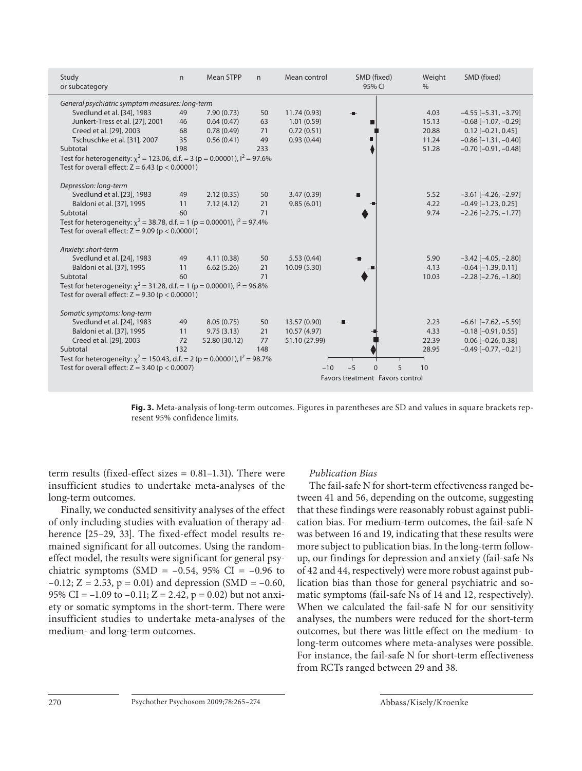| Study<br>or subcategory                                                          | n.  | <b>Mean STPP</b> | n   | Mean control                    | SMD (fixed)<br>95% CI       | Weight<br>$\%$ | SMD (fixed)                   |  |  |  |
|----------------------------------------------------------------------------------|-----|------------------|-----|---------------------------------|-----------------------------|----------------|-------------------------------|--|--|--|
| General psychiatric symptom measures: long-term                                  |     |                  |     |                                 |                             |                |                               |  |  |  |
| Svedlund et al. [34], 1983                                                       | 49  | 7.90(0.73)       | 50  | 11.74(0.93)                     |                             | 4.03           | $-4.55$ [ $-5.31, -3.79$ ]    |  |  |  |
| Junkert-Tress et al. [27], 2001                                                  | 46  | 0.64(0.47)       | 63  | 1.01(0.59)                      |                             | 15.13          | $-0.68$ [ $-1.07$ , $-0.29$ ] |  |  |  |
| Creed et al. [29], 2003                                                          | 68  | 0.78(0.49)       | 71  | 0.72(0.51)                      |                             | 20.88          | $0.12$ [-0.21, 0.45]          |  |  |  |
| Tschuschke et al. [31], 2007                                                     | 35  | 0.56(0.41)       | 49  | 0.93(0.44)                      |                             | 11.24          | $-0.86$ [ $-1.31$ , $-0.40$ ] |  |  |  |
| Subtotal                                                                         | 198 |                  | 233 |                                 |                             | 51.28          | $-0.70$ [ $-0.91$ , $-0.48$ ] |  |  |  |
| Test for heterogeneity: $\chi^2$ = 123.06, d.f. = 3 (p = 0.00001), $l^2$ = 97.6% |     |                  |     |                                 |                             |                |                               |  |  |  |
| Test for overall effect: $Z = 6.43$ ( $p < 0.00001$ )                            |     |                  |     |                                 |                             |                |                               |  |  |  |
|                                                                                  |     |                  |     |                                 |                             |                |                               |  |  |  |
| Depression: long-term                                                            |     |                  |     |                                 |                             |                |                               |  |  |  |
| Svedlund et al. [23], 1983                                                       | 49  | 2.12(0.35)       | 50  | 3.47(0.39)                      |                             | 5.52           | $-3.61$ [ $-4.26$ , $-2.97$ ] |  |  |  |
| Baldoni et al. [37], 1995                                                        | 11  | 7.12(4.12)       | 21  | 9.85(6.01)                      |                             | 4.22           | $-0.49$ [ $-1.23$ , 0.25]     |  |  |  |
| Subtotal                                                                         | 60  |                  | 71  |                                 |                             | 9.74           | $-2.26$ [ $-2.75$ , $-1.77$ ] |  |  |  |
| Test for heterogeneity: $\chi^2$ = 38.78, d.f. = 1 (p = 0.00001), $I^2$ = 97.4%  |     |                  |     |                                 |                             |                |                               |  |  |  |
| Test for overall effect: $Z = 9.09$ ( $p < 0.00001$ )                            |     |                  |     |                                 |                             |                |                               |  |  |  |
| Anxiety: short-term                                                              |     |                  |     |                                 |                             |                |                               |  |  |  |
| Svedlund et al. [24], 1983                                                       | 49  | 4.11(0.38)       | 50  | 5.53(0.44)                      |                             | 5.90           | $-3.42$ [ $-4.05$ , $-2.80$ ] |  |  |  |
| Baldoni et al. [37], 1995                                                        | 11  | 6.62(5.26)       | 21  | 10.09 (5.30)                    |                             | 4.13           | $-0.64$ [ $-1.39$ , 0.11]     |  |  |  |
| Subtotal                                                                         | 60  |                  | 71  |                                 |                             | 10.03          | $-2.28$ [ $-2.76$ , $-1.80$ ] |  |  |  |
| Test for heterogeneity: $\chi^2$ = 31.28, d.f. = 1 (p = 0.00001), $I^2$ = 96.8%  |     |                  |     |                                 |                             |                |                               |  |  |  |
| Test for overall effect: $Z = 9.30$ (p < 0.00001)                                |     |                  |     |                                 |                             |                |                               |  |  |  |
|                                                                                  |     |                  |     |                                 |                             |                |                               |  |  |  |
| Somatic symptoms: long-term                                                      |     |                  |     |                                 |                             |                |                               |  |  |  |
| Svedlund et al. [24], 1983                                                       | 49  | 8.05(0.75)       | 50  | 13.57 (0.90)                    |                             | 2.23           | $-6.61$ [ $-7.62$ , $-5.59$ ] |  |  |  |
| Baldoni et al. [37], 1995                                                        | 11  | 9.75(3.13)       | 21  | 10.57 (4.97)                    |                             | 4.33           | $-0.18[-0.91, 0.55]$          |  |  |  |
| Creed et al. [29], 2003                                                          | 72  | 52.80 (30.12)    | 77  | 51.10 (27.99)                   |                             | 22.39          | $0.06$ [ $-0.26$ , 0.38]      |  |  |  |
| Subtotal                                                                         | 132 |                  | 148 |                                 |                             | 28.95          | $-0.49$ [ $-0.77, -0.21$ ]    |  |  |  |
| Test for heterogeneity: $\chi^2$ = 150.43, d.f. = 2 (p = 0.00001), $I^2$ = 98.7% |     |                  |     |                                 |                             |                |                               |  |  |  |
| Test for overall effect: $Z = 3.40$ ( $p < 0.0007$ )                             |     |                  |     | $-10$                           | $-5$<br>5<br>$\overline{0}$ | 10             |                               |  |  |  |
|                                                                                  |     |                  |     | Favors treatment Favors control |                             |                |                               |  |  |  |
|                                                                                  |     |                  |     |                                 |                             |                |                               |  |  |  |

Fig. 3. Meta-analysis of long-term outcomes. Figures in parentheses are SD and values in square brackets represent 95% confidence limits.

term results (fixed-effect sizes = 0.81–1.31). There were insufficient studies to undertake meta-analyses of the long-term outcomes.

 Finally, we conducted sensitivity analyses of the effect of only including studies with evaluation of therapy adherence [25-29, 33]. The fixed-effect model results remained significant for all outcomes. Using the randomeffect model, the results were significant for general psychiatric symptoms (SMD =  $-0.54$ , 95% CI =  $-0.96$  to  $-0.12$ ; Z = 2.53, p = 0.01) and depression (SMD =  $-0.60$ , 95% CI =  $-1.09$  to  $-0.11$ ; Z = 2.42, p = 0.02) but not anxiety or somatic symptoms in the short-term. There were insufficient studies to undertake meta-analyses of the medium- and long-term outcomes.

#### *Publication Bias*

 The fail-safe N for short-term effectiveness ranged between 41 and 56, depending on the outcome, suggesting that these findings were reasonably robust against publication bias. For medium-term outcomes, the fail-safe N was between 16 and 19, indicating that these results were more subject to publication bias. In the long-term followup, our findings for depression and anxiety (fail-safe Ns of 42 and 44, respectively) were more robust against publication bias than those for general psychiatric and somatic symptoms (fail-safe Ns of 14 and 12, respectively). When we calculated the fail-safe N for our sensitivity analyses, the numbers were reduced for the short-term outcomes, but there was little effect on the medium- to long-term outcomes where meta-analyses were possible. For instance, the fail-safe N for short-term effectiveness from RCTs ranged between 29 and 38.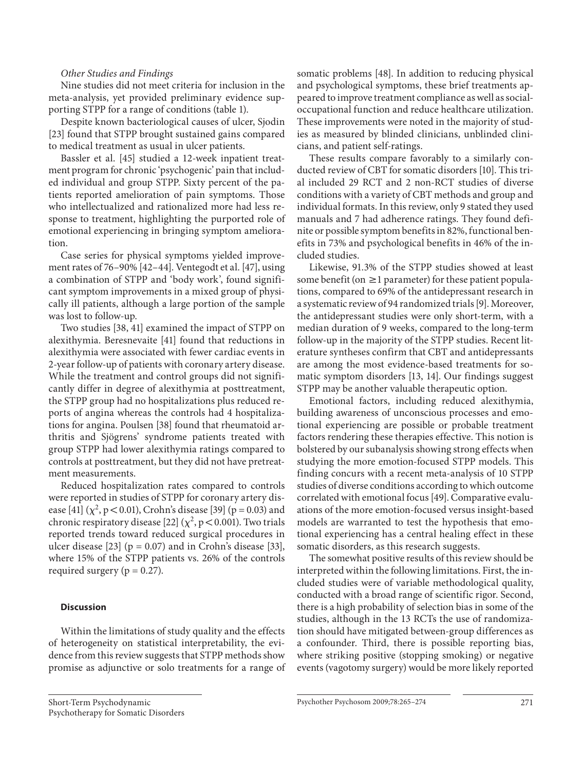#### *Other Studies and Findings*

 Nine studies did not meet criteria for inclusion in the meta-analysis, yet provided preliminary evidence supporting STPP for a range of conditions (table 1).

 Despite known bacteriological causes of ulcer, Sjodin [23] found that STPP brought sustained gains compared to medical treatment as usual in ulcer patients.

 Bassler et al. [45] studied a 12-week inpatient treatment program for chronic 'psychogenic' pain that included individual and group STPP. Sixty percent of the patients reported amelioration of pain symptoms. Those who intellectualized and rationalized more had less response to treatment, highlighting the purported role of emotional experiencing in bringing symptom amelioration.

 Case series for physical symptoms yielded improvement rates of 76–90% [42–44]. Ventegodt et al. [47], using a combination of STPP and 'body work', found significant symptom improvements in a mixed group of physically ill patients, although a large portion of the sample was lost to follow-up.

 Two studies [38, 41] examined the impact of STPP on alexithymia. Beresnevaite [41] found that reductions in alexithymia were associated with fewer cardiac events in 2-year follow-up of patients with coronary artery disease. While the treatment and control groups did not significantly differ in degree of alexithymia at posttreatment, the STPP group had no hospitalizations plus reduced reports of angina whereas the controls had 4 hospitalizations for angina. Poulsen [38] found that rheumatoid arthritis and Sjögrens' syndrome patients treated with group STPP had lower alexithymia ratings compared to controls at posttreatment, but they did not have pretreatment measurements.

 Reduced hospitalization rates compared to controls were reported in studies of STPP for coronary artery disease [41]  $(\chi^2, p < 0.01)$ , Crohn's disease [39] (p = 0.03) and chronic respiratory disease [22]  $(\chi^2, p < 0.001)$ . Two trials reported trends toward reduced surgical procedures in ulcer disease [23] ( $p = 0.07$ ) and in Crohn's disease [33], where 15% of the STPP patients vs. 26% of the controls required surgery ( $p = 0.27$ ).

## **Discussion**

 Within the limitations of study quality and the effects of heterogeneity on statistical interpretability, the evidence from this review suggests that STPP methods show promise as adjunctive or solo treatments for a range of somatic problems [48]. In addition to reducing physical and psychological symptoms, these brief treatments appeared to improve treatment compliance as well as socialoccupational function and reduce healthcare utilization. These improvements were noted in the majority of studies as measured by blinded clinicians, unblinded clinicians, and patient self-ratings.

 These results compare favorably to a similarly conducted review of CBT for somatic disorders [10]. This trial included 29 RCT and 2 non-RCT studies of diverse conditions with a variety of CBT methods and group and individual formats. In this review, only 9 stated they used manuals and 7 had adherence ratings. They found definite or possible symptom benefits in 82%, functional benefits in 73% and psychological benefits in 46% of the included studies.

 Likewise, 91.3% of the STPP studies showed at least some benefit (on  $\geq 1$  parameter) for these patient populations, compared to 69% of the antidepressant research in a systematic review of 94 randomized trials [9] . Moreover, the antidepressant studies were only short-term, with a median duration of 9 weeks, compared to the long-term follow-up in the majority of the STPP studies. Recent literature syntheses confirm that CBT and antidepressants are among the most evidence-based treatments for somatic symptom disorders [13, 14]. Our findings suggest STPP may be another valuable therapeutic option.

 Emotional factors, including reduced alexithymia, building awareness of unconscious processes and emotional experiencing are possible or probable treatment factors rendering these therapies effective. This notion is bolstered by our subanalysis showing strong effects when studying the more emotion-focused STPP models. This finding concurs with a recent meta-analysis of 10 STPP studies of diverse conditions according to which outcome correlated with emotional focus [49]. Comparative evaluations of the more emotion-focused versus insight-based models are warranted to test the hypothesis that emotional experiencing has a central healing effect in these somatic disorders, as this research suggests.

 The somewhat positive results of this review should be interpreted within the following limitations. First, the included studies were of variable methodological quality, conducted with a broad range of scientific rigor. Second, there is a high probability of selection bias in some of the studies, although in the 13 RCTs the use of randomization should have mitigated between-group differences as a confounder. Third, there is possible reporting bias, where striking positive (stopping smoking) or negative events (vagotomy surgery) would be more likely reported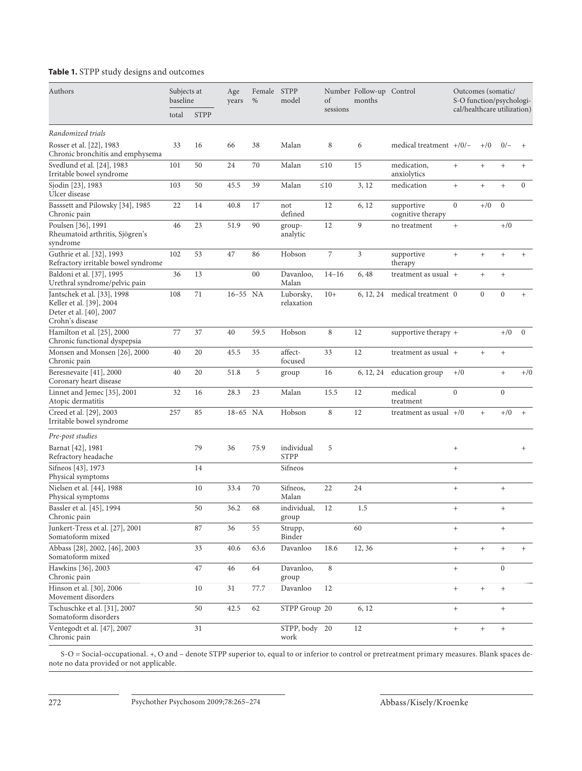# **Table 1.** STPP study designs and outcomes

| Authors                                                                                               | Subjects at<br>baseline |             | Age<br>years | Female STPP<br>% | model                     | of        | Number Follow-up Control<br>months |                                 | Outcomes (somatic/<br>S-O function/psychologi-<br>cal/healthcare utilization) |                |                  |                 |
|-------------------------------------------------------------------------------------------------------|-------------------------|-------------|--------------|------------------|---------------------------|-----------|------------------------------------|---------------------------------|-------------------------------------------------------------------------------|----------------|------------------|-----------------|
|                                                                                                       | total                   | <b>STPP</b> |              |                  |                           | sessions  |                                    |                                 |                                                                               |                |                  |                 |
| Randomized trials                                                                                     |                         |             |              |                  |                           |           |                                    |                                 |                                                                               |                |                  |                 |
| Rosser et al. [22], 1983<br>Chronic bronchitis and emphysema                                          | 33                      | 16          | 66           | 38               | Malan                     | 8         | 6                                  | medical treatment $+/0/-$       |                                                                               | $+/0$          | $0/-$            | $+$             |
| Svedlund et al. [24], 1983<br>Irritable bowel syndrome                                                | 101                     | 50          | 24           | 70               | Malan                     | $\leq 10$ | 15                                 | medication,<br>anxiolytics      | $+$                                                                           | $+$            | $+$              | $^{+}$          |
| Sjodin [23], 1983<br>Ulcer disease                                                                    | 103                     | 50          | 45.5         | 39               | Malan                     | $\leq 10$ | 3, 12                              | medication                      | $+$                                                                           | $+$            | $+$              | $\mathbf{0}$    |
| Basssett and Pilowsky [34], 1985<br>Chronic pain                                                      | 22                      | 14          | 40.8         | 17               | not<br>defined            | 12        | 6, 12                              | supportive<br>cognitive therapy | $\overline{0}$                                                                | $+/0$          | $\boldsymbol{0}$ |                 |
| Poulsen [36], 1991<br>Rheumatoid arthritis, Sjögren's<br>syndrome                                     | 46                      | 23          | 51.9         | 90               | group-<br>analytic        | 12        | 9                                  | no treatment                    | $+$                                                                           |                | $+/0$            |                 |
| Guthrie et al. [32], 1993<br>Refractory irritable bowel syndrome                                      | 102                     | 53          | 47           | 86               | Hobson                    | 7         | 3                                  | supportive<br>therapy           | $^{+}$                                                                        | $^{+}$         | $^{+}$           | $^{+}$          |
| Baldoni et al. [37], 1995<br>Urethral syndrome/pelvic pain                                            | 36                      | 13          |              | 00               | Davanloo,<br>Malan        | $14 - 16$ | 6, 48                              | treatment as usual $+$          |                                                                               | $+$            | $+$              |                 |
| Jantschek et al. [33], 1998<br>Keller et al. [39], 2004<br>Deter et al. [40], 2007<br>Crohn's disease | 108                     | 71          | 16-55 NA     |                  | Luborsky,<br>relaxation   | $10+$     | 6, 12, 24                          | medical treatment 0             |                                                                               | $\overline{0}$ | $\mathbf{0}$     | $^{+}$          |
| Hamilton et al. [25], 2000<br>Chronic functional dyspepsia                                            | 77                      | 37          | 40           | 59.5             | Hobson                    | 8         | 12                                 | supportive therapy +            |                                                                               |                | $+/0$            | $\mathbf{0}$    |
| Monsen and Monsen [26], 2000<br>Chronic pain                                                          | 40                      | 20          | 45.5         | 35               | affect-<br>focused        | 33        | 12                                 | treatment as usual $+$          |                                                                               | $+$            | $+$              |                 |
| Beresnevaite [41], 2000<br>Coronary heart disease                                                     | 40                      | 20          | 51.8         | 5                | group                     | 16        | 6, 12, 24                          | education group                 | $+/0$                                                                         |                | $^{+}$           | $+$ /0          |
| Linnet and Jemec [35], 2001<br>Atopic dermatitis                                                      | 32                      | 16          | 28.3         | 23               | Malan                     | 15.5      | 12                                 | medical<br>treatment            | $\overline{0}$                                                                |                | $\boldsymbol{0}$ |                 |
| Creed et al. [29], 2003<br>Irritable bowel syndrome                                                   | 257                     | 85          | 18-65 NA     |                  | Hobson                    | 8         | 12                                 | treatment as usual $+/0$        |                                                                               | $+$            | $+/0$            | $+$             |
| Pre-post studies                                                                                      |                         |             |              |                  |                           |           |                                    |                                 |                                                                               |                |                  |                 |
| Barnat [42], 1981<br>Refractory headache                                                              |                         | 79          | 36           | 75.9             | individual<br><b>STPP</b> | 5         |                                    |                                 | $^{+}$                                                                        |                |                  | $\! + \!\!\!\!$ |
| Sifneos [43], 1973<br>Physical symptoms                                                               |                         | 14          |              |                  | Sifneos                   |           |                                    |                                 | $+$                                                                           |                |                  |                 |
| Nielsen et al. [44], 1988<br>Physical symptoms                                                        |                         | 10          | 33.4         | 70               | Sifneos,<br>Malan         | 22        | 24                                 |                                 | $^{+}$                                                                        |                |                  |                 |
| Bassler et al. [45], 1994<br>Chronic pain                                                             |                         | 50          | 36.2         | 68               | individual,<br>group      | 12        | 1.5                                |                                 | $+$                                                                           |                | $+$              |                 |
| Junkert-Tress et al. [27], 2001<br>Somatoform mixed                                                   |                         | 87          | 36           | 55               | Strupp,<br>Binder         |           | 60                                 |                                 | $^{+}$                                                                        |                | $\! + \!\!\!\!$  |                 |
| Abbass [28], 2002, [46], 2003<br>Somatoform mixed                                                     |                         | 33          | 40.6         | 63.6             | Davanloo                  | 18.6      | 12, 36                             |                                 | $+$                                                                           | $+$            |                  | $^{+}$          |
| Hawkins [36], 2003<br>Chronic pain                                                                    |                         | 47          | 46           | 64               | Davanloo,<br>group        | 8         |                                    |                                 | $^{+}$                                                                        |                | $\boldsymbol{0}$ |                 |
| Hinson et al. [30], 2006<br>Movement disorders                                                        |                         | 10          | 31           | 77.7             | Davanloo                  | 12        |                                    |                                 | $^{+}$                                                                        | $+$            |                  |                 |
| Tschuschke et al. [31], 2007<br>Somatoform disorders                                                  |                         | 50          | 42.5         | 62               | STPP Group 20             |           | 6, 12                              |                                 | $^{+}$                                                                        |                |                  |                 |
| Ventegodt et al. [47], 2007<br>Chronic pain                                                           |                         | 31          |              |                  | STPP, body 20<br>work     |           | 12                                 |                                 | $+$                                                                           | $+$            |                  |                 |

S-O = Social-occupational. +, O and – denote STPP superior to, equal to or inferior to control or pretreatment primary measures. Blank spaces denote no data provided or not applicable.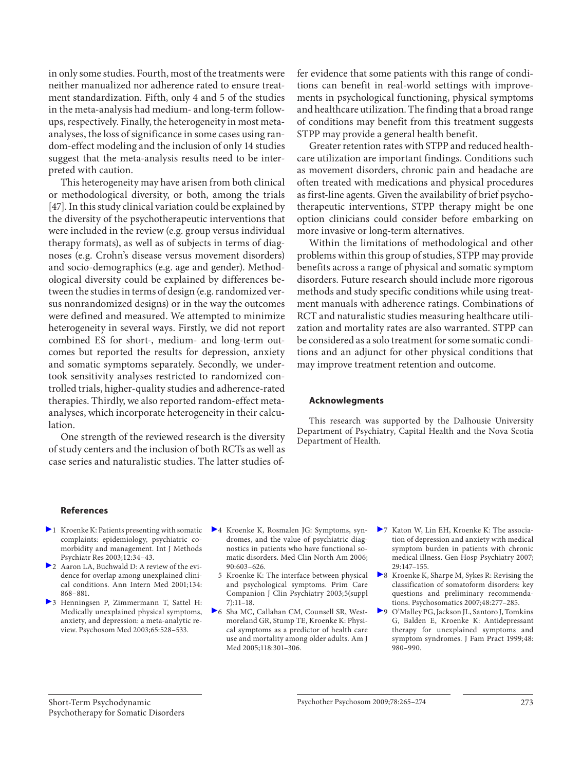in only some studies. Fourth, most of the treatments were neither manualized nor adherence rated to ensure treatment standardization. Fifth, only 4 and 5 of the studies in the meta-analysis had medium- and long-term followups, respectively. Finally, the heterogeneity in most metaanalyses, the loss of significance in some cases using random-effect modeling and the inclusion of only 14 studies suggest that the meta-analysis results need to be interpreted with caution.

 This heterogeneity may have arisen from both clinical or methodological diversity, or both, among the trials [47]. In this study clinical variation could be explained by the diversity of the psychotherapeutic interventions that were included in the review (e.g. group versus individual therapy formats), as well as of subjects in terms of diagnoses (e.g. Crohn's disease versus movement disorders) and socio-demographics (e.g. age and gender). Methodological diversity could be explained by differences between the studies in terms of design (e.g. randomized versus nonrandomized designs) or in the way the outcomes were defined and measured. We attempted to minimize heterogeneity in several ways. Firstly, we did not report combined ES for short-, medium- and long-term outcomes but reported the results for depression, anxiety and somatic symptoms separately. Secondly, we undertook sensitivity analyses restricted to randomized controlled trials, higher-quality studies and adherence-rated therapies. Thirdly, we also reported random-effect metaanalyses, which incorporate heterogeneity in their calculation.

 One strength of the reviewed research is the diversity of study centers and the inclusion of both RCTs as well as case series and naturalistic studies. The latter studies offer evidence that some patients with this range of conditions can benefit in real-world settings with improvements in psychological functioning, physical symptoms and healthcare utilization. The finding that a broad range of conditions may benefit from this treatment suggests STPP may provide a general health benefit.

 Greater retention rates with STPP and reduced healthcare utilization are important findings. Conditions such as movement disorders, chronic pain and headache are often treated with medications and physical procedures as first-line agents. Given the availability of brief psychotherapeutic interventions, STPP therapy might be one option clinicians could consider before embarking on more invasive or long-term alternatives.

 Within the limitations of methodological and other problems within this group of studies, STPP may provide benefits across a range of physical and somatic symptom disorders. Future research should include more rigorous methods and study specific conditions while using treatment manuals with adherence ratings. Combinations of RCT and naturalistic studies measuring healthcare utilization and mortality rates are also warranted. STPP can be considered as a solo treatment for some somatic conditions and an adjunct for other physical conditions that may improve treatment retention and outcome.

#### **Acknowlegments**

 This research was supported by the Dalhousie University Department of Psychiatry, Capital Health and the Nova Scotia Department of Health.

#### **References**

- $\blacktriangleright$  1 Kroenke K: Patients presenting with somatic complaints: epidemiology, psychiatric comorbidity and management. Int J Methods Psychiatr Res 2003;12:34–43.
- 2 Aaron LA, Buchwald D: A review of the evidence for overlap among unexplained clinical conditions. Ann Intern Med 2001;134: 868–881.
- 3 Henningsen P, Zimmermann T, Sattel H: Medically unexplained physical symptoms, anxiety, and depression: a meta-analytic review. Psychosom Med 2003;65:528–533.
- 4 Kroenke K, Rosmalen JG: Symptoms, syndromes, and the value of psychiatric diagnostics in patients who have functional somatic disorders. Med Clin North Am 2006; 90:603–626.
	- 5 Kroenke K: The interface between physical and psychological symptoms. Prim Care Companion J Clin Psychiatry 2003;5(suppl 7):11–18.
- 6 Sha MC, Callahan CM, Counsell SR, Westmoreland GR, Stump TE, Kroenke K: Physical symptoms as a predictor of health care use and mortality among older adults. Am J Med 2005;118:301–306.
- 7 Katon W, Lin EH, Kroenke K: The association of depression and anxiety with medical symptom burden in patients with chronic medical illness. Gen Hosp Psychiatry 2007; 29:147–155.
- 8 Kroenke K, Sharpe M, Sykes R: Revising the classification of somatoform disorders: key questions and preliminary recommendations. Psychosomatics 2007;48:277–285.
- 9 O'Malley PG, Jackson JL, Santoro J, Tomkins G, Balden E, Kroenke K: Antidepressant therapy for unexplained symptoms and symptom syndromes. J Fam Pract 1999;48: 980–990.

 Short-Term Psychodynamic Psychotherapy for Somatic Disorders